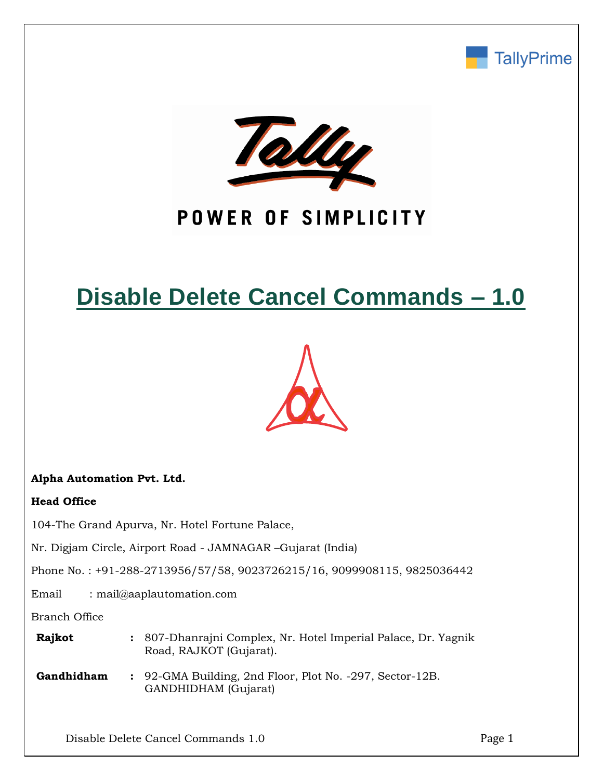



## POWER OF SIMPLICITY

# **Disable Delete Cancel Commands – 1.0**



### **Alpha Automation Pvt. Ltd.**

### **Head Office**

104-The Grand Apurva, Nr. Hotel Fortune Palace,

Nr. Digjam Circle, Airport Road - JAMNAGAR –Gujarat (India)

Phone No. : +91-288-2713956/57/58, 9023726215/16, 9099908115, 9825036442

Email : mail@aaplautomation.com

Branch Office

| <b>Rajkot</b> | : 807-Dhanrajni Complex, Nr. Hotel Imperial Palace, Dr. Yagnik |
|---------------|----------------------------------------------------------------|
|               | Road, RAJKOT (Gujarat).                                        |

**Gandhidham :** 92-GMA Building, 2nd Floor, Plot No. -297, Sector-12B. GANDHIDHAM (Gujarat)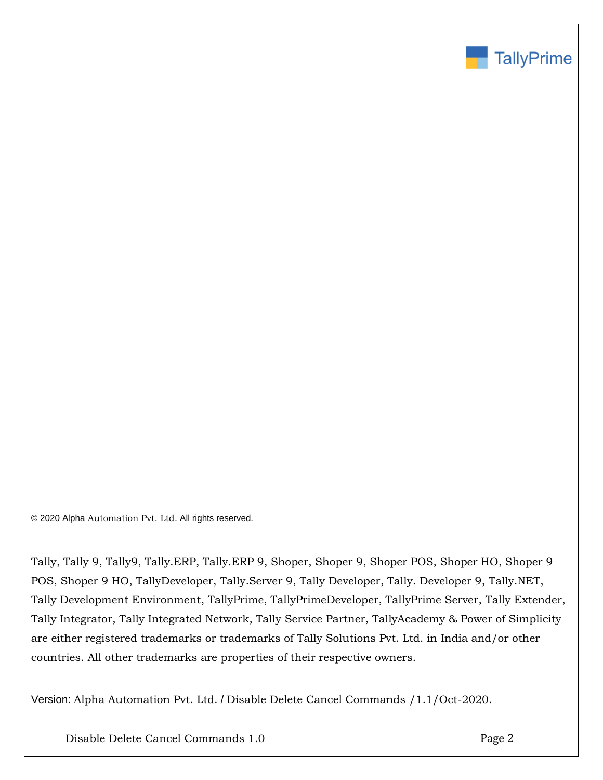

© 2020 Alpha Automation Pvt. Ltd. All rights reserved.

Tally, Tally 9, Tally9, Tally.ERP, Tally.ERP 9, Shoper, Shoper 9, Shoper POS, Shoper HO, Shoper 9 POS, Shoper 9 HO, TallyDeveloper, Tally.Server 9, Tally Developer, Tally. Developer 9, Tally.NET, Tally Development Environment, TallyPrime, TallyPrimeDeveloper, TallyPrime Server, Tally Extender, Tally Integrator, Tally Integrated Network, Tally Service Partner, TallyAcademy & Power of Simplicity are either registered trademarks or trademarks of Tally Solutions Pvt. Ltd. in India and/or other countries. All other trademarks are properties of their respective owners.

Version: Alpha Automation Pvt. Ltd. / Disable Delete Cancel Commands /1.1/Oct-2020.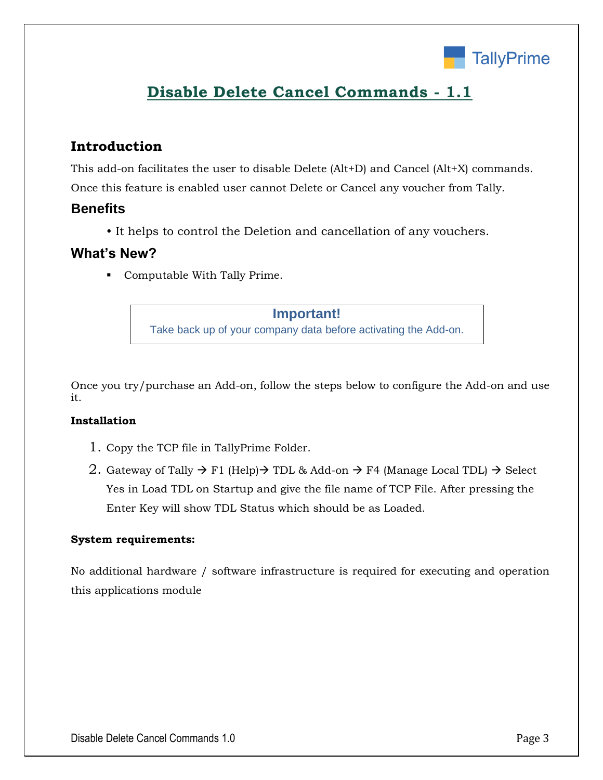

## **Disable Delete Cancel Commands - 1.1**

## **Introduction**

This add-on facilitates the user to disable Delete (Alt+D) and Cancel (Alt+X) commands. Once this feature is enabled user cannot Delete or Cancel any voucher from Tally.

## **Benefits**

• It helps to control the Deletion and cancellation of any vouchers.

## **What's New?**

▪ Computable With Tally Prime.

#### **Important!**

Take back up of your company data before activating the Add-on.

Once you try/purchase an Add-on, follow the steps below to configure the Add-on and use it.

### **Installation**

- 1. Copy the TCP file in TallyPrime Folder.
- 2. Gateway of Tally  $\rightarrow$  F1 (Help) $\rightarrow$  TDL & Add-on  $\rightarrow$  F4 (Manage Local TDL)  $\rightarrow$  Select Yes in Load TDL on Startup and give the file name of TCP File. After pressing the Enter Key will show TDL Status which should be as Loaded.

#### **System requirements:**

No additional hardware / software infrastructure is required for executing and operation this applications module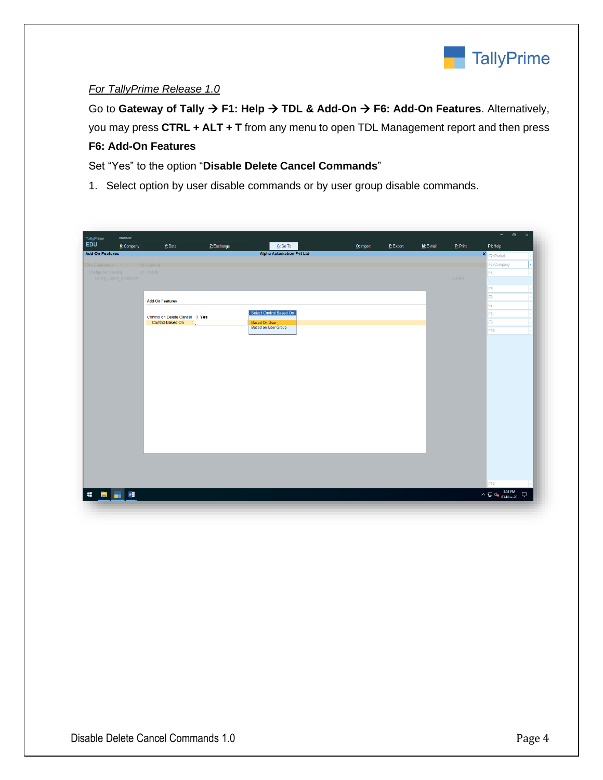

#### *For TallyPrime Release 1.0*

Go to **Gateway of Tally** → **F1: Help** → **TDL & Add-On** → **F6: Add-On Features**. Alternatively, you may press **CTRL + ALT + T** from any menu to open TDL Management report and then press **F6: Add-On Features**

Set "Yes" to the option "**Disable Delete Cancel Commands**"

1. Select option by user disable commands or by user group disable commands.

| TallyPrime                | K: Company                      | Y: Data                        | Z: Exchange | G: Go To                        | $Q:$ Import | E: Export | $M: E$ -mail | P:Print | F1: Help                |        |
|---------------------------|---------------------------------|--------------------------------|-------------|---------------------------------|-------------|-----------|--------------|---------|-------------------------|--------|
| <b>Add-On Features</b>    |                                 |                                |             | <b>Alpha Automation Pvt Ltd</b> |             |           |              |         | F2: Period              |        |
| <b>TDLs Configured</b>    | 1 (1 Loaded)                    |                                |             |                                 |             |           |              |         | F3: Company             |        |
|                           | Configured Locally 1 (1 Loaded) |                                |             |                                 |             |           |              |         | F4                      |        |
| Delete Cancel Disable.txt |                                 |                                |             |                                 |             |           |              | Loaded  |                         |        |
|                           |                                 |                                |             |                                 |             |           |              |         | F <sub>5</sub>          |        |
|                           |                                 | <b>Add-On Features</b>         |             |                                 |             |           |              |         | F <sub>6</sub>          |        |
|                           |                                 |                                |             |                                 |             |           |              |         | F7                      |        |
|                           |                                 | Control on Delete Cancel ? Yes |             | Select Control Based On         |             |           |              |         | F <sub>8</sub>          |        |
|                           |                                 | Control Based On :             |             | <b>Based On User</b>            |             |           |              |         | F <sub>9</sub>          |        |
|                           |                                 |                                |             | <b>Based on User Group</b>      |             |           |              |         | F10                     |        |
|                           |                                 |                                |             |                                 |             |           |              |         |                         |        |
|                           |                                 |                                |             |                                 |             |           |              |         |                         |        |
|                           |                                 |                                |             |                                 |             |           |              |         |                         |        |
|                           |                                 |                                |             |                                 |             |           |              |         |                         |        |
|                           |                                 |                                |             |                                 |             |           |              |         |                         |        |
|                           |                                 |                                |             |                                 |             |           |              |         |                         |        |
|                           |                                 |                                |             |                                 |             |           |              |         |                         |        |
|                           |                                 |                                |             |                                 |             |           |              |         |                         |        |
|                           |                                 |                                |             |                                 |             |           |              |         |                         |        |
|                           |                                 |                                |             |                                 |             |           |              |         |                         |        |
|                           |                                 |                                |             |                                 |             |           |              |         |                         |        |
|                           |                                 |                                |             |                                 |             |           |              |         |                         |        |
|                           |                                 |                                |             |                                 |             |           |              |         |                         |        |
|                           |                                 |                                |             |                                 |             |           |              |         |                         |        |
|                           |                                 |                                |             |                                 |             |           |              |         |                         |        |
|                           |                                 |                                |             |                                 |             |           |              |         |                         |        |
|                           |                                 |                                |             |                                 |             |           |              |         |                         |        |
|                           |                                 |                                |             |                                 |             |           |              |         |                         |        |
|                           |                                 |                                |             |                                 |             |           |              |         |                         |        |
|                           |                                 |                                |             |                                 |             |           |              |         |                         |        |
|                           |                                 |                                |             |                                 |             |           |              |         |                         |        |
|                           |                                 |                                |             |                                 |             |           |              |         |                         |        |
|                           |                                 |                                |             |                                 |             |           |              |         |                         |        |
|                           |                                 |                                |             |                                 |             |           |              |         |                         |        |
|                           |                                 |                                |             |                                 |             |           |              |         |                         |        |
|                           |                                 |                                |             |                                 |             |           |              |         |                         |        |
|                           |                                 |                                |             |                                 |             |           |              |         |                         |        |
|                           |                                 |                                |             |                                 |             |           |              |         |                         |        |
|                           |                                 |                                |             |                                 |             |           |              |         |                         |        |
|                           |                                 |                                |             |                                 |             |           |              |         |                         |        |
|                           |                                 |                                |             |                                 |             |           |              |         |                         |        |
|                           |                                 |                                |             |                                 |             |           |              |         | F12                     |        |
|                           |                                 |                                |             |                                 |             |           |              |         | $\land \Box$ 4x 3:58 PM |        |
| $\blacksquare$            |                                 |                                |             |                                 |             |           |              |         |                         | $\Box$ |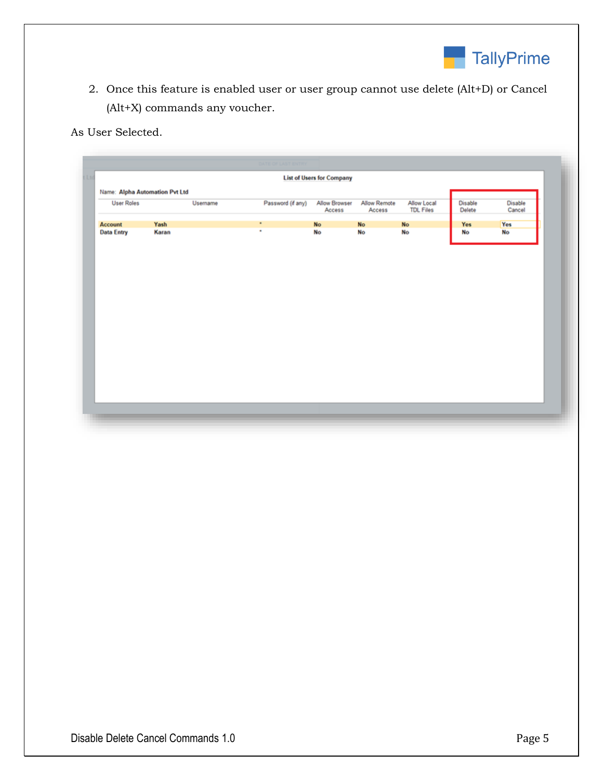

2. Once this feature is enabled user or user group cannot use delete (Alt+D) or Cancel (Alt+X) commands any voucher.

As User Selected.

|                                |       |          | DATE OF LAST ENTRY |                                  |                               |                                 |                   |                   |
|--------------------------------|-------|----------|--------------------|----------------------------------|-------------------------------|---------------------------------|-------------------|-------------------|
| Ltc                            |       |          |                    | <b>List of Users for Company</b> |                               |                                 |                   |                   |
| Name: Alpha Automation Pvt Ltd |       |          |                    |                                  |                               |                                 |                   |                   |
| <b>User Roles</b>              |       | Username | Password (if any)  | <b>Allow Browser</b><br>Access   | <b>Allow Remote</b><br>Access | Allow Local<br><b>TDL Files</b> | Disable<br>Delete | Disable<br>Cancel |
| Account                        | Yash  |          | ٠                  | <b>No</b>                        | <b>No</b>                     | <b>No</b>                       | Yes               | Yes               |
| <b>Data Entry</b>              | Karan |          | ٠                  | No                               | No                            | No                              | <b>No</b>         | No                |
|                                |       |          |                    |                                  |                               |                                 |                   |                   |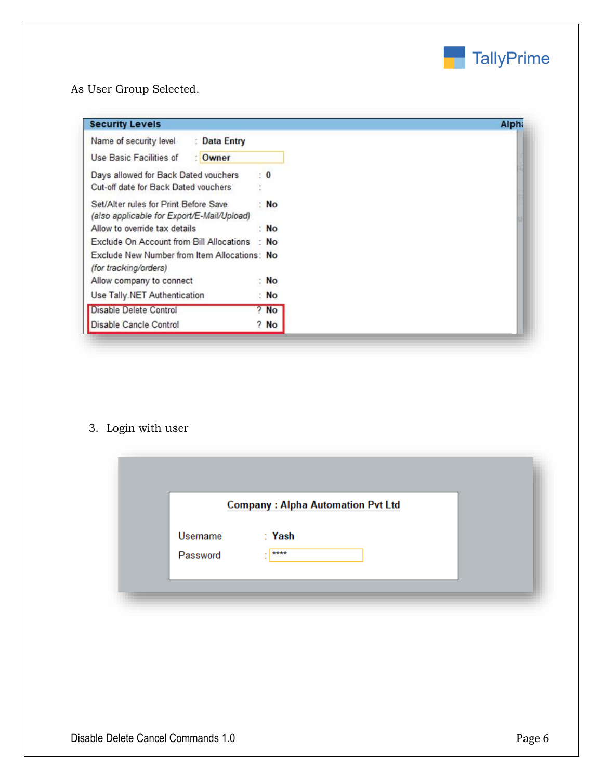

## As User Group Selected.

| <b>Security Levels</b>                                                              |                | <b>Alph</b> |
|-------------------------------------------------------------------------------------|----------------|-------------|
| Name of security level<br>: Data Entry                                              |                |             |
| Use Basic Facilities of<br>: Owner                                                  |                |             |
| Days allowed for Back Dated vouchers<br>Cut-off date for Back Dated vouchers        | $\cdot$ 0      |             |
| Set/Alter rules for Print Before Save<br>(also applicable for Export/E-Mail/Upload) | : No           |             |
| Allow to override tax details                                                       | N <sub>O</sub> |             |
| Exclude On Account from Bill Allocations : No                                       |                |             |
| Exclude New Number from Item Allocations: No<br>(for tracking/orders)               |                |             |
| Allow company to connect                                                            | : No           |             |
| Use Tally.NET Authentication                                                        | N <sub>o</sub> |             |
| Disable Delete Control                                                              | $?$ No         |             |
| Disable Cancle Control                                                              | $?$ No         |             |

## 3. Login with user

|          | <b>Company: Alpha Automation Pvt Ltd</b> |  |
|----------|------------------------------------------|--|
| Username | : Yash                                   |  |
| Password | $-1$ ****<br>$\sim$                      |  |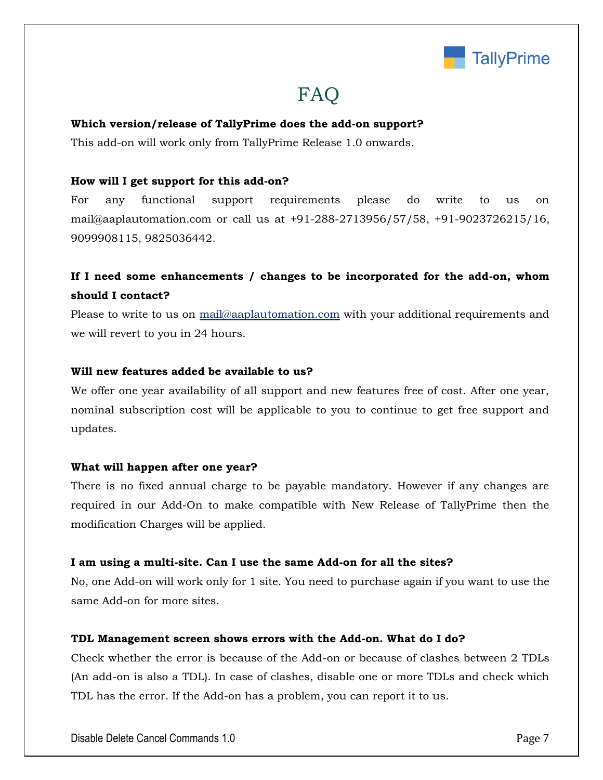

## FAQ

#### **Which version/release of TallyPrime does the add-on support?**

This add-on will work only from TallyPrime Release 1.0 onwards.

#### **How will I get support for this add-on?**

For any functional support requirements please do write to us on mail@aaplautomation.com or call us at +91-288-2713956/57/58, +91-9023726215/16, 9099908115, 9825036442.

## **If I need some enhancements / changes to be incorporated for the add-on, whom should I contact?**

Please to write to us on mail@aaplautomation.com with your additional requirements and we will revert to you in 24 hours.

#### **Will new features added be available to us?**

We offer one year availability of all support and new features free of cost. After one year, nominal subscription cost will be applicable to you to continue to get free support and updates.

#### **What will happen after one year?**

There is no fixed annual charge to be payable mandatory. However if any changes are required in our Add-On to make compatible with New Release of TallyPrime then the modification Charges will be applied.

#### **I am using a multi-site. Can I use the same Add-on for all the sites?**

No, one Add-on will work only for 1 site. You need to purchase again if you want to use the same Add-on for more sites.

#### **TDL Management screen shows errors with the Add-on. What do I do?**

Check whether the error is because of the Add-on or because of clashes between 2 TDLs (An add-on is also a TDL). In case of clashes, disable one or more TDLs and check which TDL has the error. If the Add-on has a problem, you can report it to us.